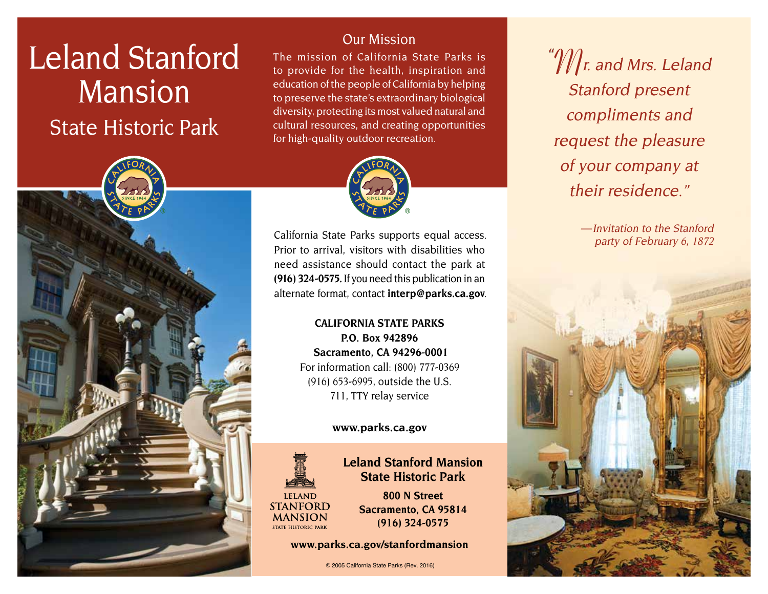# Leland Stanford Mansion State Historic Park



## Our Mission

The mission of California State Parks is to provide for the health, inspiration and education of the people of California by helping to preserve the state's extraordinary biological diversity, protecting its most valued natural and cultural resources, and creating opportunities for high-quality outdoor recreation.



California State Parks supports equal access. Prior to arrival, visitors with disabilities who need assistance should contact the park at **(916) 324-0575.** If you need this publication in an alternate format, contact **[interp@parks.ca.gov](mailto:interp@parks.ca.gov.)**.

> **CALIFORNIA STATE PARKS P.O. Box 942896 Sacramento, CA 94296-0001** For information call: (800) 777-0369 (916) 653-6995, outside the U.S. 711, TTY relay service

#### **[www.parks.ca.gov](http:www.parks.ca.gov)**



### **Leland Stanford Mansion State Historic Park**

**800 N Street Sacramento, CA 95814 (916) 324-0575** 

**[www.parks.ca.gov/stanfordmansion](http:www.parks.ca.gov/stanfordmansion)**

© 2005 California State Parks (Rev. 2016)

" $\mathscr{W}\!\mathscr{m}$  and Mrs. Leland Stanford present compliments and request the pleasure of your company at their residence."

> — Invitation to the Stanford party of February 6, 1872

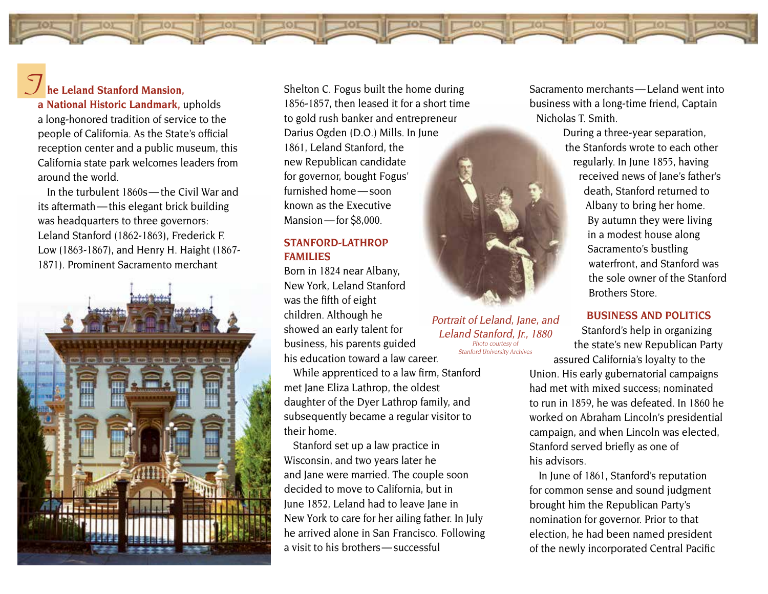

**a National Historic Landmark,** upholds a long-honored tradition of service to the people of California. As the State's official reception center and a public museum, this California state park welcomes leaders from around the world.

In the turbulent 1860s — the Civil War and its aftermath — this elegant brick building was headquarters to three governors: Leland Stanford (1862-1863), Frederick F. Low (1863-1867), and Henry H. Haight (1867- 1871). Prominent Sacramento merchant



Shelton C. Fogus built the home during 1856-1857, then leased it for a short time to gold rush banker and entrepreneur Darius Ogden (D.O.) Mills. In June 1861, Leland Stanford, the new Republican candidate for governor, bought Fogus' furnished home — soon known as the Executive Mansion — for \$8,000.

#### **STANFORd-LATHROP FAMILIES**

Born in 1824 near Albany, New York, Leland Stanford was the fifth of eight children. Although he showed an early talent for business, his parents guided his education toward a law career.

While apprenticed to a law firm, Stanford met Jane Eliza Lathrop, the oldest daughter of the Dyer Lathrop family, and subsequently became a regular visitor to their home.

Stanford set up a law practice in Wisconsin, and two years later he and Jane were married. The couple soon decided to move to California, but in June 1852, Leland had to leave Jane in New York to care for her ailing father. In July he arrived alone in San Francisco. Following a visit to his brothers — successful



Portrait of Leland, Jane, and Leland Stanford, Jr., 1880 Photo courtesy of Stanford University Archives

Sacramento merchants — Leland went into business with a long-time friend, Captain Nicholas T. Smith.

> During a three-year separation, the Stanfords wrote to each other regularly. In June 1855, having received news of Jane's father's death, Stanford returned to Albany to bring her home. By autumn they were living in a modest house along Sacramento's bustling waterfront, and Stanford was the sole owner of the Stanford Brothers Store.

> > **BuSINESS ANd POLITICS**

Stanford's help in organizing the state's new Republican Party assured California's loyalty to the

Union. His early gubernatorial campaigns had met with mixed success; nominated to run in 1859, he was defeated. In 1860 he worked on Abraham Lincoln's presidential campaign, and when Lincoln was elected, Stanford served briefly as one of his advisors.

In June of 1861, Stanford's reputation for common sense and sound judgment brought him the Republican Party's nomination for governor. Prior to that election, he had been named president of the newly incorporated Central Pacific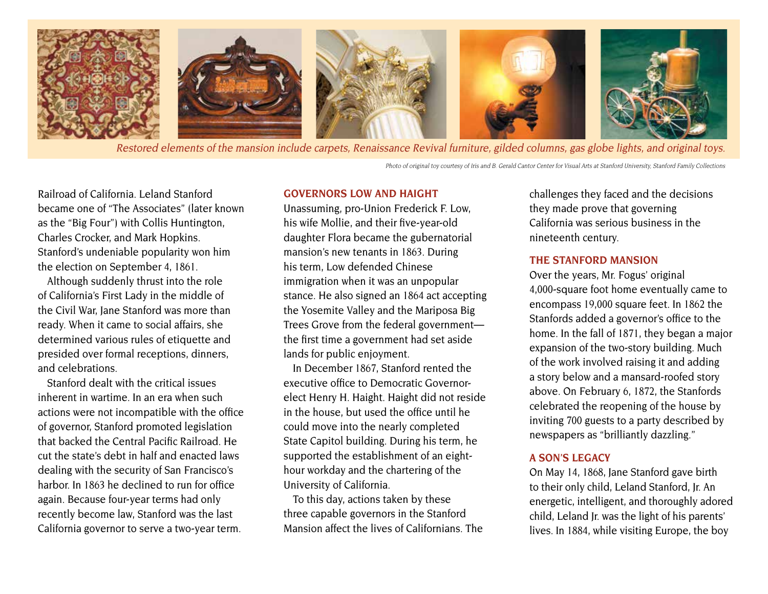

Restored elements of the mansion include carpets, Renaissance Revival furniture, gilded columns, gas globe lights, and original toys.

Photo of original toy courtesy of Iris and B. Gerald Cantor Center for Visual Arts at Stanford University, Stanford Family Collections

Railroad of California. Leland Stanford became one of "The Associates" (later known as the "Big Four") with Collis Huntington, Charles Crocker, and Mark Hopkins. Stanford's undeniable popularity won him the election on September 4, 1861.

Although suddenly thrust into the role of California's First Lady in the middle of the Civil War, Jane Stanford was more than ready. When it came to social affairs, she determined various rules of etiquette and presided over formal receptions, dinners, and celebrations.

Stanford dealt with the critical issues inherent in wartime. In an era when such actions were not incompatible with the office of governor, Stanford promoted legislation that backed the Central Pacific Railroad. He cut the state's debt in half and enacted laws dealing with the security of San Francisco's harbor. In 1863 he declined to run for office again. Because four-year terms had only recently become law, Stanford was the last California governor to serve a two-year term.

#### **GOvERNORS LOw ANd HAIGHT**

Unassuming, pro-Union Frederick F. Low, his wife Mollie, and their five-year-old daughter Flora became the gubernatorial mansion's new tenants in 1863. During his term, Low defended Chinese immigration when it was an unpopular stance. He also signed an 1864 act accepting the Yosemite Valley and the Mariposa Big Trees Grove from the federal government the first time a government had set aside lands for public enjoyment.

In December 1867, Stanford rented the executive office to Democratic Governorelect Henry H. Haight. Haight did not reside in the house, but used the office until he could move into the nearly completed State Capitol building. During his term, he supported the establishment of an eighthour workday and the chartering of the University of California.

To this day, actions taken by these three capable governors in the Stanford Mansion affect the lives of Californians. The challenges they faced and the decisions they made prove that governing California was serious business in the nineteenth century.

#### **THE STANFORD MANSION**

Over the years, Mr. Fogus' original 4,000-square foot home eventually came to encompass 19,000 square feet. In 1862 the Stanfords added a governor's office to the home. In the fall of 1871, they began a major expansion of the two-story building. Much of the work involved raising it and adding a story below and a mansard-roofed story above. On February 6, 1872, the Stanfords celebrated the reopening of the house by inviting 700 guests to a party described by newspapers as "brilliantly dazzling."

#### **A SON'S LEGACy**

On May 14, 1868, Jane Stanford gave birth to their only child, Leland Stanford, Jr. An energetic, intelligent, and thoroughly adored child, Leland Jr. was the light of his parents' lives. In 1884, while visiting Europe, the boy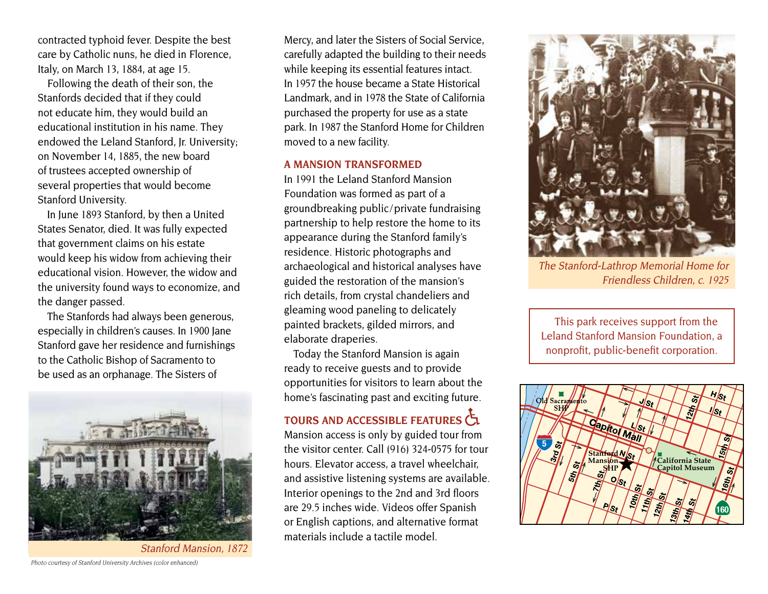contracted typhoid fever. Despite the best care by Catholic nuns, he died in Florence, Italy, on March 13, 1884, at age 15.

Following the death of their son, the Stanfords decided that if they could not educate him, they would build an educational institution in his name. They endowed the Leland Stanford, Jr. University; on November 14, 1885, the new board of trustees accepted ownership of several properties that would become Stanford University.

In June 1893 Stanford, by then a United States Senator, died. It was fully expected that government claims on his estate would keep his widow from achieving their educational vision. However, the widow and the university found ways to economize, and the danger passed.

The Stanfords had always been generous, especially in children's causes. In 1900 Jane Stanford gave her residence and furnishings to the Catholic Bishop of Sacramento to be used as an orphanage. The Sisters of



Stanford Mansion, 1872

Mercy, and later the Sisters of Social Service, carefully adapted the building to their needs while keeping its essential features intact. In 1957 the house became a State Historical Landmark, and in 1978 the State of California purchased the property for use as a state park. In 1987 the Stanford Home for Children moved to a new facility.

#### **A MANSION TRANSFORMEd**

In 1991 the Leland Stanford Mansion Foundation was formed as part of a groundbreaking public / private fundraising partnership to help restore the home to its appearance during the Stanford family's residence. Historic photographs and archaeological and historical analyses have guided the restoration of the mansion's rich details, from crystal chandeliers and gleaming wood paneling to delicately painted brackets, gilded mirrors, and elaborate draperies.

Today the Stanford Mansion is again ready to receive guests and to provide opportunities for visitors to learn about the home's fascinating past and exciting future.

## **TOuRS ANd ACCESSIBLE FEATuRES**

Mansion access is only by guided tour from the visitor center. Call (916) 324-0575 for tour hours. Elevator access, a travel wheelchair, and assistive listening systems are available. Interior openings to the 2nd and 3rd floors are 29.5 inches wide. Videos offer Spanish or English captions, and alternative format materials include a tactile model.



The Stanford-Lathrop Memorial Home for Friendless Children, c. 1925

This park receives support from the Leland Stanford Mansion Foundation, a nonprofit, public-benefit corporation.



Photo courtesy of Stanford University Archives (color enhanced)